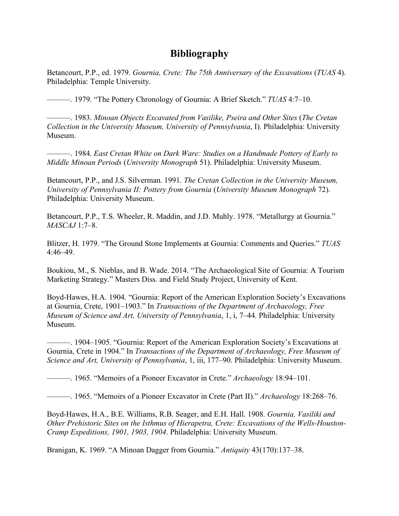## **Bibliography**

Betancourt, P.P., ed. 1979. *Gournia, Crete: The 75th Anniversary of the Excavations* (*TUAS* 4). Philadelphia: Temple University.

———. 1979. "The Pottery Chronology of Gournia: A Brief Sketch." *TUAS* 4:7–10.

———. 1983. *Minoan Objects Excavated from Vasilike, Pseira and Other Sites* (*The Cretan Collection in the University Museum, University of Pennsylvania*, I). Philadelphia: University Museum.

———. 1984. *East Cretan White on Dark Ware: Studies on a Handmade Pottery of Early to Middle Minoan Periods* (*University Monograph* 51). Philadelphia: University Museum.

Betancourt, P.P., and J.S. Silverman. 1991. *The Cretan Collection in the University Museum, University of Pennsylvania II: Pottery from Gournia* (*University Museum Monograph* 72). Philadelphia: University Museum.

Betancourt, P.P., T.S. Wheeler, R. Maddin, and J.D. Muhly. 1978. "Metallurgy at Gournia." *MASCAJ* 1:7–8.

Blitzer, H. 1979. "The Ground Stone Implements at Gournia: Comments and Queries." *TUAS*  4:46–49.

Boukiou, M., S. Nieblas, and B. Wade. 2014. "The Archaeological Site of Gournia: A Tourism Marketing Strategy." Masters Diss. and Field Study Project, University of Kent.

Boyd-Hawes, H.A. 1904. "Gournia: Report of the American Exploration Society's Excavations at Gournia, Crete, 1901–1903." In *Transactions of the Department of Archaeology, Free Museum of Science and Art, University of Pennsylvania*, 1, i, 7–44. Philadelphia: University Museum.

———. 1904–1905. "Gournia: Report of the American Exploration Society's Excavations at Gournia, Crete in 1904." In *Transactions of the Department of Archaeology, Free Museum of Science and Art, University of Pennsylvania*, 1, iii, 177–90. Philadelphia: University Museum.

———. 1965. "Memoirs of a Pioneer Excavator in Crete." *Archaeology* 18:94–101.

———. 1965. "Memoirs of a Pioneer Excavator in Crete (Part II)." *Archaeology* 18:268–76.

Boyd-Hawes, H.A., B.E. Williams, R.B. Seager, and E.H. Hall. 1908. *Gournia, Vasiliki and Other Prehistoric Sites on the Isthmus of Hierapetra, Crete: Excavations of the Wells-Houston-Cramp Expeditions, 1901, 1903, 1904*. Philadelphia: University Museum.

Branigan, K. 1969. "A Minoan Dagger from Gournia." *Antiquity* 43(170):137–38.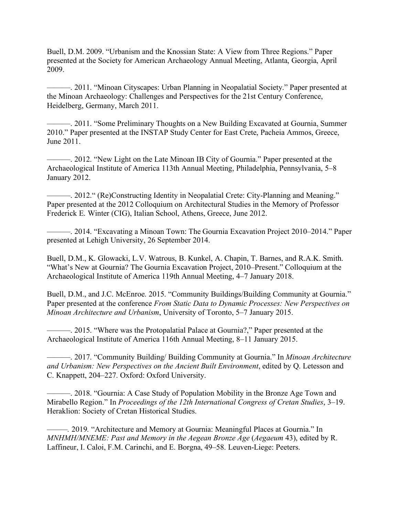Buell, D.M. 2009. "Urbanism and the Knossian State: A View from Three Regions." Paper presented at the Society for American Archaeology Annual Meeting, Atlanta, Georgia, April 2009.

———. 2011. "Minoan Cityscapes: Urban Planning in Neopalatial Society." Paper presented at the Minoan Archaeology: Challenges and Perspectives for the 21st Century Conference, Heidelberg, Germany, March 2011.

———. 2011. "Some Preliminary Thoughts on a New Building Excavated at Gournia, Summer 2010." Paper presented at the INSTAP Study Center for East Crete, Pacheia Ammos, Greece, June 2011.

———. 2012. "New Light on the Late Minoan IB City of Gournia." Paper presented at the Archaeological Institute of America 113th Annual Meeting, Philadelphia, Pennsylvania, 5–8 January 2012.

———. 2012." (Re)Constructing Identity in Neopalatial Crete: City-Planning and Meaning." Paper presented at the 2012 Colloquium on Architectural Studies in the Memory of Professor Frederick E. Winter (CIG), Italian School, Athens, Greece, June 2012.

———. 2014. "Excavating a Minoan Town: The Gournia Excavation Project 2010–2014." Paper presented at Lehigh University, 26 September 2014.

Buell, D.M., K. Glowacki, L.V. Watrous, B. Kunkel, A. Chapin, T. Barnes, and R.A.K. Smith. "What's New at Gournia? The Gournia Excavation Project, 2010–Present." Colloquium at the Archaeological Institute of America 119th Annual Meeting, 4–7 January 2018.

Buell, D.M., and J.C. McEnroe. 2015. "Community Buildings/Building Community at Gournia." Paper presented at the conference *From Static Data to Dynamic Processes: New Perspectives on Minoan Architecture and Urbanism*, University of Toronto, 5–7 January 2015.

———. 2015. "Where was the Protopalatial Palace at Gournia?," Paper presented at the Archaeological Institute of America 116th Annual Meeting, 8–11 January 2015.

———. 2017. "Community Building/ Building Community at Gournia." In *Minoan Architecture and Urbanism: New Perspectives on the Ancient Built Environment*, edited by Q. Letesson and C. Knappett, 204–227. Oxford: Oxford University.

———. 2018. "Gournia: A Case Study of Population Mobility in the Bronze Age Town and Mirabello Region." In *Proceedings of the 12th International Congress of Cretan Studies*, 3–19. Heraklion: Society of Cretan Historical Studies.

*———.* 2019*.* "Architecture and Memory at Gournia: Meaningful Places at Gournia." In *MNHMH/MNEME: Past and Memory in the Aegean Bronze Age* (*Aegaeum* 43), edited by R. Laffineur, I. Caloi, F.M. Carinchi, and E. Borgna, 49–58. Leuven-Liege: Peeters.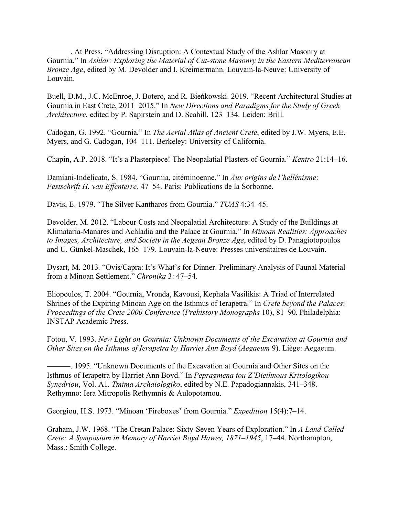———. At Press. "Addressing Disruption: A Contextual Study of the Ashlar Masonry at Gournia." In *Ashlar: Exploring the Material of Cut-stone Masonry in the Eastern Mediterranean Bronze Age*, edited by M. Devolder and I. Kreimermann. Louvain-la-Neuve: University of Louvain.

Buell, D.M., J.C. McEnroe, J. Botero, and R. Bieńkowski. 2019. "Recent Architectural Studies at Gournia in East Crete, 2011–2015." In *New Directions and Paradigms for the Study of Greek Architecture*, edited by P. Sapirstein and D. Scahill, 123–134. Leiden: Brill.

Cadogan, G. 1992. "Gournia." In *The Aerial Atlas of Ancient Crete*, edited by J.W. Myers, E.E. Myers, and G. Cadogan, 104–111. Berkeley: University of California.

Chapin, A.P. 2018. "It's a Plasterpiece! The Neopalatial Plasters of Gournia." *Kentro* 21:14–16.

Damiani-Indelicato, S. 1984. "Gournia, citéminoenne." In *Aux origins de l'hellénisme*: *Festschrift H. van Effenterre,* 47–54. Paris: Publications de la Sorbonne.

Davis, E. 1979. "The Silver Kantharos from Gournia." *TUAS* 4:34–45.

Devolder, M. 2012. "Labour Costs and Neopalatial Architecture: A Study of the Buildings at Klimataria-Manares and Achladia and the Palace at Gournia." In *Minoan Realities: Approaches to Images, Architecture, and Society in the Aegean Bronze Age*, edited by D. Panagiotopoulos and U. Günkel-Maschek, 165–179. Louvain-la-Neuve: Presses universitaires de Louvain.

Dysart, M. 2013. "Ovis/Capra: It's What's for Dinner. Preliminary Analysis of Faunal Material from a Minoan Settlement." *Chronika* 3: 47–54.

Eliopoulos, T. 2004. "Gournia, Vronda, Kavousi, Kephala Vasilikis: A Triad of Interrelated Shrines of the Expiring Minoan Age on the Isthmus of Ierapetra." In *Crete beyond the Palaces*: *Proceedings of the Crete 2000 Conference* (*Prehistory Monographs* 10), 81–90. Philadelphia: INSTAP Academic Press.

Fotou, V. 1993. *New Light on Gournia: Unknown Documents of the Excavation at Gournia and Other Sites on the Isthmus of Ierapetra by Harriet Ann Boyd* (*Aegaeum* 9). Liège: Aegaeum.

———. 1995. "Unknown Documents of the Excavation at Gournia and Other Sites on the Isthmus of Ierapetra by Harriet Ann Boyd." In *Pepragmena tou Z'Diethnous Kritologikou Synedriou*, Vol. A1. *Tmima Archaiologiko*, edited by N.E. Papadogiannakis, 341–348. Rethymno: Iera Mitropolis Rethymnis & Aulopotamou.

Georgiou, H.S. 1973. "Minoan 'Fireboxes' from Gournia." *Expedition* 15(4):7–14.

Graham, J.W. 1968. "The Cretan Palace: Sixty-Seven Years of Exploration." In *A Land Called Crete: A Symposium in Memory of Harriet Boyd Hawes, 1871–1945*, 17–44. Northampton, Mass.: Smith College.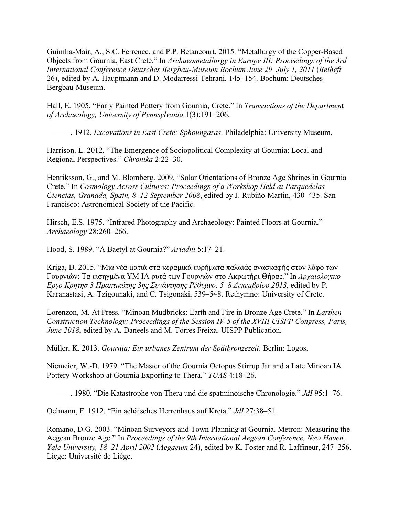Guimlia-Mair, A., S.C. Ferrence, and P.P. Betancourt. 2015. "Metallurgy of the Copper-Based Objects from Gournia, East Crete." In *Archaeometallurgy in Europe III: Proceedings of the 3rd International Conference Deutsches Bergbau-Museum Bochum June 29–July 1, 2011* (*Beiheft* 26), edited by A. Hauptmann and D. Modarressi-Tehrani, 145–154. Bochum: Deutsches Bergbau-Museum.

Hall, E. 1905. "Early Painted Pottery from Gournia, Crete." In *Transactions of the Departmen*t *of Archaeology, University of Pennsylvania* 1(3):191–206.

———. 1912. *Excavations in East Crete: Sphoungaras*. Philadelphia: University Museum.

Harrison. L. 2012. "The Emergence of Sociopolitical Complexity at Gournia: Local and Regional Perspectives." *Chronika* 2:22–30.

Henriksson, G., and M. Blomberg. 2009. "Solar Orientations of Bronze Age Shrines in Gournia Crete." In *Cosmology Across Cultures: Proceedings of a Workshop Held at Parquedelas Ciencias, Granada, Spain, 8–12 September 2008*, edited by J. Rubiño-Martin, 430–435. San Francisco: Astronomical Society of the Pacific.

Hirsch, E.S. 1975. "Infrared Photography and Archaeology: Painted Floors at Gournia." *Archaeology* 28:260–266.

Hood, S. 1989. "A Baetyl at Gournia?" *Ariadni* 5:17–21.

Kriga, D. 2015. "Μια νέα ματιά στα κεραμικά ευρήματα παλαιάς ανασκαφής στον λόφο των Γουρνιών: Τα εισηγμένα ΥΜ ΙΑ ρυτά των Γουρνιών στο Ακρωτήρι Θήρας." In *Αρχαιολογικο Εργο Κρητησ 3 Πρακτικάτης 3ης Συνάντησης Ρέθυμνο, 5–8 Δεκεμβρίου 2013*, edited by P. Karanastasi, A. Tzigounaki, and C. Tsigonaki, 539–548. Rethymno: University of Crete.

Lorenzon, M. At Press. "Minoan Mudbricks: Earth and Fire in Bronze Age Crete." In *Earthen Construction Technology: Proceedings of the Session IV-5 of the XVIII UISPP Congress, Paris, June 2018*, edited by A. Daneels and M. Torres Freixa. UISPP Publication.

Müller, K. 2013. *Gournia: Ein urbanes Zentrum der Spätbronzezeit*. Berlin: Logos.

Niemeier, W.-D. 1979. "The Master of the Gournia Octopus Stirrup Jar and a Late Minoan IA Pottery Workshop at Gournia Exporting to Thera." *TUAS* 4:18–26.

———. 1980. "Die Katastrophe von Thera und die spatminoische Chronologie." *JdI* 95:1–76.

Oelmann, F. 1912. "Ein achäisches Herrenhaus auf Kreta." *JdI* 27:38–51.

Romano, D.G. 2003. "Minoan Surveyors and Town Planning at Gournia. Metron: Measuring the Aegean Bronze Age." In *Proceedings of the 9th International Aegean Conference, New Haven, Yale University, 18–21 April 2002* (*Aegaeum* 24), edited by K. Foster and R. Laffineur, 247–256. Liege: Université de Liège.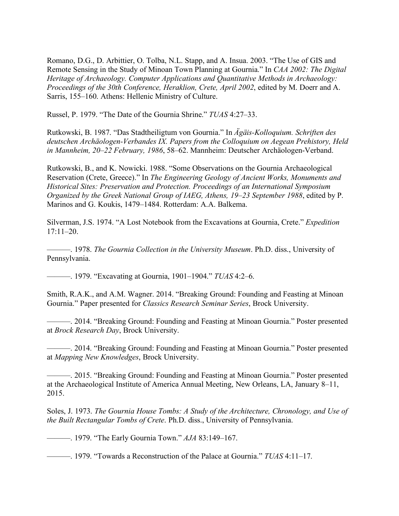Romano, D.G., D. Arbittier, O. Tolba, N.L. Stapp, and A. Insua. 2003. "The Use of GIS and Remote Sensing in the Study of Minoan Town Planning at Gournia." In *CAA 2002: The Digital Heritage of Archaeology. Computer Applications and Quantitative Methods in Archaeology: Proceedings of the 30th Conference, Heraklion, Crete, April 2002*, edited by M. Doerr and A. Sarris, 155–160. Athens: Hellenic Ministry of Culture.

Russel, P. 1979. "The Date of the Gournia Shrine." *TUAS* 4:27–33.

Rutkowski, B. 1987. "Das Stadtheiligtum von Gournia." In *Ägäis-Kolloquium. Schriften des deutschen Archäologen-Verbandes IX. Papers from the Colloquium on Aegean Prehistory, Held in Mannheim, 20–22 February, 1986*, 58–62. Mannheim: Deutscher Archäologen-Verband.

Rutkowski, B., and K. Nowicki. 1988. "Some Observations on the Gournia Archaeological Reservation (Crete, Greece)." In *The Engineering Geology of Ancient Works, Monuments and Historical Sites: Preservation and Protection. Proceedings of an International Symposium Organized by the Greek National Group of IAEG, Athens, 19–23 September 1988*, edited by P. Marinos and G. Koukis, 1479–1484. Rotterdam: A.A. Balkema.

Silverman, J.S. 1974. "A Lost Notebook from the Excavations at Gournia, Crete." *Expedition* 17:11–20.

———. 1978. *The Gournia Collection in the University Museum*. Ph.D. diss., University of Pennsylvania.

———. 1979. "Excavating at Gournia, 1901–1904." *TUAS* 4:2–6.

Smith, R.A.K., and A.M. Wagner. 2014. "Breaking Ground: Founding and Feasting at Minoan Gournia." Paper presented for *Classics Research Seminar Series*, Brock University.

———. 2014. "Breaking Ground: Founding and Feasting at Minoan Gournia." Poster presented at *Brock Research Day*, Brock University.

———. 2014. "Breaking Ground: Founding and Feasting at Minoan Gournia." Poster presented at *Mapping New Knowledges*, Brock University.

———. 2015. "Breaking Ground: Founding and Feasting at Minoan Gournia." Poster presented at the Archaeological Institute of America Annual Meeting, New Orleans, LA, January 8–11, 2015.

Soles, J. 1973. *The Gournia House Tombs: A Study of the Architecture, Chronology, and Use of the Built Rectangular Tombs of Crete*. Ph.D. diss., University of Pennsylvania.

———. 1979. "The Early Gournia Town." *AJA* 83:149–167.

———. 1979. "Towards a Reconstruction of the Palace at Gournia." *TUAS* 4:11–17.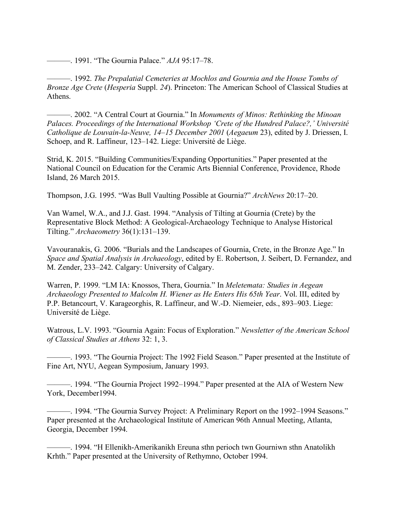———. 1991. "The Gournia Palace." *AJA* 95:17–78.

———. 1992. *The Prepalatial Cemeteries at Mochlos and Gournia and the House Tombs of Bronze Age Crete* (*Hesperia* Suppl. *24*). Princeton: The American School of Classical Studies at Athens.

———. 2002. "A Central Court at Gournia." In *Monuments of Minos: Rethinking the Minoan Palaces. Proceedings of the International Workshop 'Crete of the Hundred Palace?,' Université Catholique de Louvain-la-Neuve, 14–15 December 2001* (*Aegaeum* 23), edited by J. Driessen, I. Schoep, and R. Laffineur, 123–142. Liege: Université de Liège.

Strid, K. 2015. "Building Communities/Expanding Opportunities." Paper presented at the National Council on Education for the Ceramic Arts Biennial Conference, Providence, Rhode Island, 26 March 2015.

Thompson, J.G. 1995. "Was Bull Vaulting Possible at Gournia?" *ArchNews* 20:17–20.

Van Wamel, W.A., and J.J. Gast. 1994. "Analysis of Tilting at Gournia (Crete) by the Representative Block Method: A Geological-Archaeology Technique to Analyse Historical Tilting." *Archaeometry* 36(1):131–139.

Vavouranakis, G. 2006. "Burials and the Landscapes of Gournia, Crete, in the Bronze Age." In *Space and Spatial Analysis in Archaeology*, edited by E. Robertson, J. Seibert, D. Fernandez, and M. Zender, 233–242. Calgary: University of Calgary.

Warren, P. 1999. "LM IA: Knossos, Thera, Gournia." In *Meletemata: Studies in Aegean Archaeology Presented to Malcolm H. Wiener as He Enters His 65th Year*. Vol. III, edited by P.P. Betancourt, V. Karageorghis, R. Laffineur, and W.-D. Niemeier, eds., 893–903. Liege: Université de Liège.

Watrous, L.V. 1993. "Gournia Again: Focus of Exploration." *Newsletter of the American School of Classical Studies at Athens* 32: 1, 3.

———. 1993. "The Gournia Project: The 1992 Field Season." Paper presented at the Institute of Fine Art, NYU, Aegean Symposium, January 1993.

———. 1994. "The Gournia Project 1992–1994." Paper presented at the AIA of Western New York, December1994.

———. 1994. "The Gournia Survey Project: A Preliminary Report on the 1992–1994 Seasons." Paper presented at the Archaeological Institute of American 96th Annual Meeting, Atlanta, Georgia, December 1994.

———. 1994. "H Ellenikh-Amerikanikh Ereuna sthn perioch twn Gourniwn sthn Anatolikh Krhth." Paper presented at the University of Rethymno, October 1994.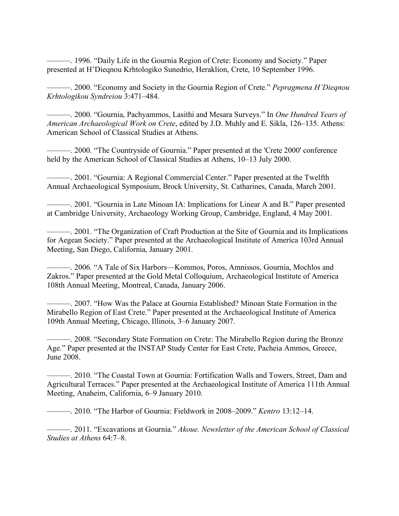———. 1996. "Daily Life in the Gournia Region of Crete: Economy and Society." Paper presented at H'Dieqnou Krhtologiko Sunedrio, Heraklion, Crete, 10 September 1996.

———. 2000. "Economy and Society in the Gournia Region of Crete." *Pepragmena H'Dieqnou Krhtologikou Syndreiou* 3:471–484.

———. 2000. "Gournia, Pachyammos, Lasithi and Mesara Surveys." In *One Hundred Years of American Archaeological Work on Crete*, edited by J.D. Muhly and E. Sikla, 126–135. Athens: American School of Classical Studies at Athens.

———. 2000. "The Countryside of Gournia." Paper presented at the 'Crete 2000' conference held by the American School of Classical Studies at Athens, 10–13 July 2000.

-. 2001. "Gournia: A Regional Commercial Center." Paper presented at the Twelfth Annual Archaeological Symposium, Brock University, St. Catharines, Canada, March 2001.

———. 2001. "Gournia in Late Minoan IA: Implications for Linear A and B." Paper presented at Cambridge University, Archaeology Working Group, Cambridge, England, 4 May 2001.

———. 2001. "The Organization of Craft Production at the Site of Gournia and its Implications for Aegean Society." Paper presented at the Archaeological Institute of America 103rd Annual Meeting, San Diego, California, January 2001.

———. 2006. "A Tale of Six Harbors—Kommos, Poros, Amnissos, Gournia, Mochlos and Zakros." Paper presented at the Gold Metal Colloquium, Archaeological Institute of America 108th Annual Meeting, Montreal, Canada, January 2006.

———. 2007. "How Was the Palace at Gournia Established? Minoan State Formation in the Mirabello Region of East Crete." Paper presented at the Archaeological Institute of America 109th Annual Meeting, Chicago, Illinois, 3–6 January 2007.

———. 2008. "Secondary State Formation on Crete: The Mirabello Region during the Bronze Age." Paper presented at the INSTAP Study Center for East Crete, Pacheia Ammos, Greece, June 2008.

———. 2010. "The Coastal Town at Gournia: Fortification Walls and Towers, Street, Dam and Agricultural Terraces." Paper presented at the Archaeological Institute of America 111th Annual Meeting, Anaheim, California, 6–9 January 2010.

———. 2010. "The Harbor of Gournia: Fieldwork in 2008–2009." *Kentro* 13:12–14.

———. 2011. "Excavations at Gournia." *Akoue. Newsletter of the American School of Classical Studies at Athens* 64:7–8.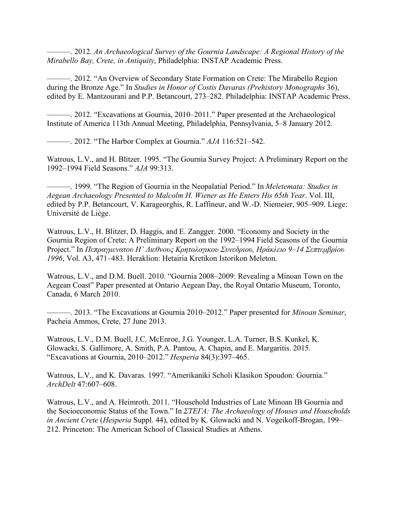———. 2012. *An Archaeological Survey of the Gournia Landscape: A Regional History of the Mirabello Bay, Crete, in Antiquity*, Philadelphia: INSTAP Academic Press.

———. 2012. "An Overview of Secondary State Formation on Crete: The Mirabello Region during the Bronze Age." In *Studies in Honor of Costis Davaras (Prehistory Monographs* 36), edited by E. Mantzourani and P.P. Betancourt, 273–282. Philadelphia: INSTAP Academic Press.

———. 2012. "Excavations at Gournia, 2010–2011." Paper presented at the Archaeological Institute of America 113th Annual Meeting, Philadelphia, Pennsylvania, 5–8 January 2012.

———. 2012. "The Harbor Complex at Gournia." *AJA* 116:521–542.

Watrous, L.V., and H. Blitzer. 1995. "The Gournia Survey Project: A Preliminary Report on the 1992–1994 Field Seasons." *AJA* 99:313.

———. 1999. "The Region of Gournia in the Neopalatial Period." In *Meletemata: Studies in Aegean Archaeology Presented to Malcolm H. Wiener as He Enters His 65th Year*. Vol. III, edited by P.P. Betancourt, V. Karageorghis, R. Laffineur, and W.-D. Niemeier, 905–909. Liege: Université de Liège.

Watrous, L.V., H. Blitzer, D. Haggis, and E. Zangger. 2000. "Economy and Society in the Gournia Region of Crete: A Preliminary Report on the 1992–1994 Field Seasons of the Gournia Project." In *Πεπραγμενατου Η' Διεθνους Κρητολογικου Συνεδριου, Ηράκλειο 9–14 Σεπτεμβρίου 1996*, Vol. A3, 471–483. Heraklion: Hetairia Kretikon Istorikon Meleton.

Watrous, L.V., and D.M. Buell. 2010. "Gournia 2008–2009: Revealing a Minoan Town on the Aegean Coast" Paper presented at Ontario Aegean Day, the Royal Ontario Museum, Toronto, Canada, 6 March 2010.

———. 2013. "The Excavations at Gournia 2010–2012." Paper presented for *Minoan Seminar*, Pacheia Ammos, Crete, 27 June 2013.

Watrous, L.V., D.M. Buell, J.C. McEnroe, J.G. Younger, L.A. Turner, B.S. Kunkel, K. Glowacki, S. Gallimore, A. Smith, P.A. Pantou, A. Chapin, and E. Margaritis. 2015. "Excavations at Gournia, 2010–2012." *Hesperia* 84(3):397–465.

Watrous, L.V., and K. Davaras. 1997. "Amerikaniki Scholi Klasikon Spoudon: Gournia." *ArchDelt* 47:607–608.

Watrous, L.V., and A. Heimroth. 2011. "Household Industries of Late Minoan IB Gournia and the Socioeconomic Status of the Town." In *ΣΤΕΓΑ: The Archaeology of Houses and Households in Ancient Crete* (*Hesperia* Suppl. 44), edited by K. Glowacki and N. Vogeikoff-Brogan, 199– 212. Princeton: The American School of Classical Studies at Athens.